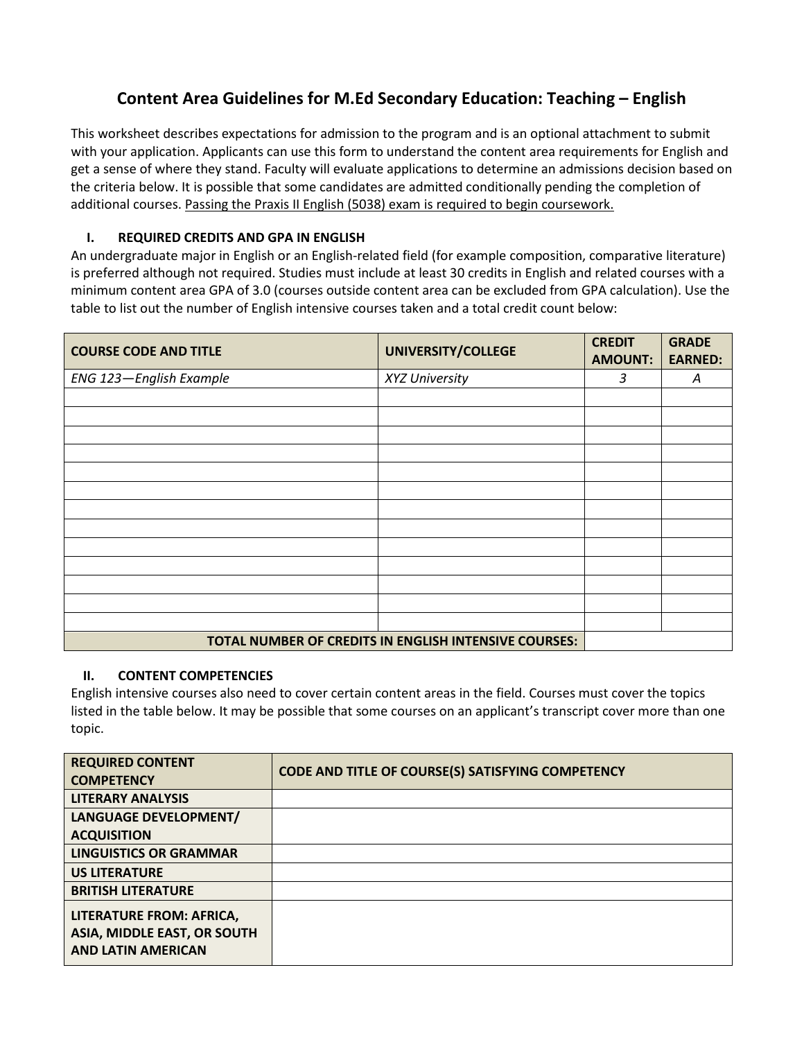## **Content Area Guidelines for M.Ed Secondary Education: Teaching – English**

This worksheet describes expectations for admission to the program and is an optional attachment to submit with your application. Applicants can use this form to understand the content area requirements for English and get a sense of where they stand. Faculty will evaluate applications to determine an admissions decision based on the criteria below. It is possible that some candidates are admitted conditionally pending the completion of additional courses. Passing the Praxis II English (5038) exam is required to begin coursework.

## **I. REQUIRED CREDITS AND GPA IN ENGLISH**

An undergraduate major in English or an English-related field (for example composition, comparative literature) is preferred although not required. Studies must include at least 30 credits in English and related courses with a minimum content area GPA of 3.0 (courses outside content area can be excluded from GPA calculation). Use the table to list out the number of English intensive courses taken and a total credit count below:

| <b>COURSE CODE AND TITLE</b>                          | UNIVERSITY/COLLEGE | <b>CREDIT</b><br><b>AMOUNT:</b> | <b>GRADE</b><br><b>EARNED:</b> |
|-------------------------------------------------------|--------------------|---------------------------------|--------------------------------|
| ENG 123-English Example                               | XYZ University     | 3                               | A                              |
|                                                       |                    |                                 |                                |
|                                                       |                    |                                 |                                |
|                                                       |                    |                                 |                                |
|                                                       |                    |                                 |                                |
|                                                       |                    |                                 |                                |
|                                                       |                    |                                 |                                |
|                                                       |                    |                                 |                                |
|                                                       |                    |                                 |                                |
|                                                       |                    |                                 |                                |
|                                                       |                    |                                 |                                |
|                                                       |                    |                                 |                                |
|                                                       |                    |                                 |                                |
|                                                       |                    |                                 |                                |
| TOTAL NUMBER OF CREDITS IN ENGLISH INTENSIVE COURSES: |                    |                                 |                                |

## **II. CONTENT COMPETENCIES**

English intensive courses also need to cover certain content areas in the field. Courses must cover the topics listed in the table below. It may be possible that some courses on an applicant's transcript cover more than one topic.

| <b>REQUIRED CONTENT</b>            | CODE AND TITLE OF COURSE(S) SATISFYING COMPETENCY |
|------------------------------------|---------------------------------------------------|
| <b>COMPETENCY</b>                  |                                                   |
| <b>LITERARY ANALYSIS</b>           |                                                   |
| LANGUAGE DEVELOPMENT/              |                                                   |
| <b>ACQUISITION</b>                 |                                                   |
| <b>LINGUISTICS OR GRAMMAR</b>      |                                                   |
| <b>US LITERATURE</b>               |                                                   |
| <b>BRITISH LITERATURE</b>          |                                                   |
| LITERATURE FROM: AFRICA,           |                                                   |
| <b>ASIA, MIDDLE EAST, OR SOUTH</b> |                                                   |
| <b>AND LATIN AMERICAN</b>          |                                                   |